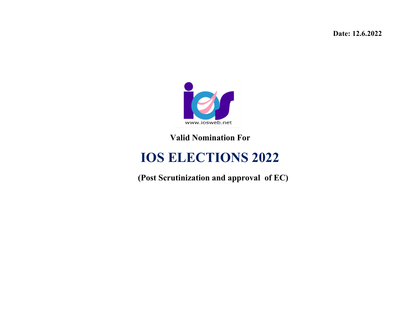**Date: 12.6.2022**



**Valid Nomination For**

## **IOS ELECTIONS 2022**

 **(Post Scrutinization and approval of EC)**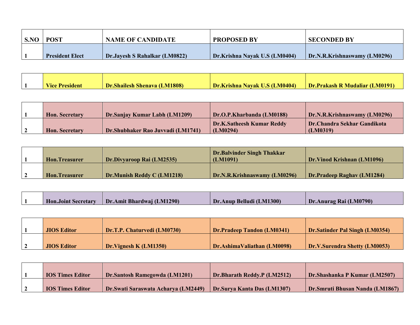| S.NO | <b>POST</b>            | <b>NAME OF CANDIDATE</b>             | <b>PROPOSED BY</b>            | <b>SECONDED BY</b>           |
|------|------------------------|--------------------------------------|-------------------------------|------------------------------|
|      | <b>President Elect</b> | <b>Dr.Jayesh S Rahalkar (LM0822)</b> | Dr.Krishna Nayak U.S (LM0404) | Dr.N.R.Krishnaswamy (LM0296) |

| <b>Vice</b><br>esident | <b>11808)</b><br>Dr.<br><b>Shailesh Shenava (L.</b> | <b>M0404)</b><br>Dr.<br>krishna i<br>Navak | <b>M0191</b><br>Dr<br>.Prakash R Mudaliar ( |
|------------------------|-----------------------------------------------------|--------------------------------------------|---------------------------------------------|

| <b>Hon.</b> Secretary | Dr.Sanjay Kumar Labh (LM1209)      | Dr.O.P.Kharbanda (LM0188)                    | Dr.N.R.Krishnaswamy (LM0296)            |
|-----------------------|------------------------------------|----------------------------------------------|-----------------------------------------|
| <b>Hon.</b> Secretary | Dr. Shubhaker Rao Juvvadi (LM1741) | <b>Dr.K.Satheesh Kumar Reddy</b><br>(LM0294) | Dr.Chandra Sekhar Gandikota<br>(LM0319) |

|                      |                            | Dr.Balvinder Singh Thakkar   |                            |
|----------------------|----------------------------|------------------------------|----------------------------|
| <b>Hon.Treasurer</b> | Dr.Divyaroop Rai (LM2535)  | (LM1091)                     | Dr.Vinod Krishnan (LM1096) |
|                      |                            |                              |                            |
| <b>Hon.Treasurer</b> | Dr.Munish Reddy C (LM1218) | Dr.N.R.Krishnaswamy (LM0296) | Dr.Pradeep Raghav (LM1284) |

| <b>Hon.Joint Secretary</b> | Amit Bhardwai (LM1290).<br>Dr. | Belludi (LM1300)<br>Dr.Anup | Dr.Anurag Rai (LM0790) |
|----------------------------|--------------------------------|-----------------------------|------------------------|

| <b>JIOS Editor</b> | Dr.T.P. Chaturvedi (LM0730) | Dr.Pradeep Tandon (LM0341)  | Dr.Satinder Pal Singh (LM0354) |
|--------------------|-----------------------------|-----------------------------|--------------------------------|
|                    |                             |                             |                                |
| <b>JIOS Editor</b> | Dr. Vignesh K (LM1350)      | Dr.AshimaValiathan (LM0098) | Dr.V.Surendra Shetty (LM0053)  |

| <b>IOS Times Editor</b> | Dr.Santosh Ramegowda (LM1201)        | <b>Dr.Bharath Reddy.P (LM2512)</b> | Dr. Shashanka P Kumar (LM2507)   |
|-------------------------|--------------------------------------|------------------------------------|----------------------------------|
|                         |                                      |                                    |                                  |
| <b>IOS Times Editor</b> | Dr. Swati Saraswata Acharya (LM2449) | Dr.Surva Kanta Das (LM1307)        | Dr. Smruti Bhusan Nanda (LM1867) |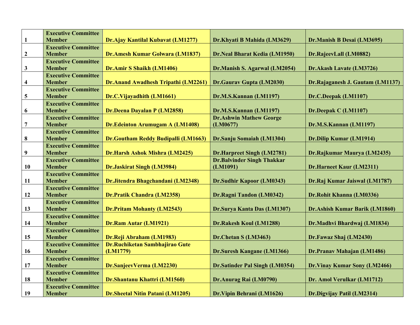|                  | <b>Executive Committee</b> |                                            |                                       |                                  |
|------------------|----------------------------|--------------------------------------------|---------------------------------------|----------------------------------|
| 1                | <b>Member</b>              | Dr.Ajay Kantilal Kubavat (LM1277)          | Dr.Khyati B Mahida (LM3629)           | Dr.Manish B Desai (LM3695)       |
|                  | <b>Executive Committee</b> |                                            |                                       |                                  |
| $\boldsymbol{2}$ | <b>Member</b>              | Dr.Amesh Kumar Golwara (LM1837)            | Dr.Neal Bharat Kedia (LM1950)         | Dr.RajeevLall (LM0882)           |
|                  | <b>Executive Committee</b> |                                            |                                       |                                  |
| $\mathbf{3}$     | <b>Member</b>              | Dr.Amir S Shaikh (LM1406)                  | Dr.Manish S. Agarwal (LM2054)         | Dr.Akash Lavate (LM3726)         |
|                  | <b>Executive Committee</b> |                                            |                                       |                                  |
| 4                | <b>Member</b>              | <b>Dr.Anand Awadhesh Tripathi (LM2261)</b> | Dr.Gaurav Gupta (LM2030)              | Dr.Rajaganesh J. Gautam (LM1137) |
|                  | <b>Executive Committee</b> |                                            |                                       |                                  |
| 5                | <b>Member</b>              | Dr.C.Vijayadhith (LM1661)                  | Dr.M.S.Kannan (LM1197)                | Dr.C.Deepak (LM1107)             |
|                  | <b>Executive Committee</b> |                                            |                                       |                                  |
| 6                | <b>Member</b>              | Dr.Deena Dayalan P (LM2858)                | Dr.M.S.Kannan (LM1197)                | Dr.Deepak C (LM1107)             |
|                  | <b>Executive Committee</b> |                                            | <b>Dr.Ashwin Mathew George</b>        |                                  |
| $\overline{7}$   | <b>Member</b>              | Dr.Edeinton Arumugam A (LM1408)            | (LM0677)                              | Dr.M.S.Kannan (LM1197)           |
|                  | <b>Executive Committee</b> |                                            |                                       |                                  |
| 8                | <b>Member</b>              | Dr.Goutham Reddy Budipalli (LM1663)        | Dr.Sanju Somaiah (LM1304)             | <b>Dr.Dilip Kumar (LM1914)</b>   |
|                  | <b>Executive Committee</b> |                                            |                                       |                                  |
| 9                | <b>Member</b>              | Dr.Harsh Ashok Mishra (LM2425)             | <b>Dr.Harpreet Singh (LM2781)</b>     | Dr.Rajkumar Maurya (LM2435)      |
|                  | <b>Executive Committee</b> |                                            | <b>Dr.Balvinder Singh Thakkar</b>     |                                  |
| 10               | <b>Member</b>              | <b>Dr.Jaskirat Singh (LM3984)</b>          | (LM1091)                              | <b>Dr.Harneet Kaur (LM2311)</b>  |
|                  | <b>Executive Committee</b> |                                            |                                       |                                  |
| <b>11</b>        | <b>Member</b>              | Dr.Jitendra Bhagchandani (LM2348)          | <b>Dr.Sudhir Kapoor (LM0343)</b>      | Dr.Raj Kumar Jaiswal (LM1787)    |
|                  | <b>Executive Committee</b> |                                            |                                       |                                  |
| 12               | <b>Member</b>              | <b>Dr.Pratik Chandra (LM2358)</b>          | Dr.Ragni Tandon (LM0342)              | Dr.Rohit Khanna (LM0336)         |
|                  | <b>Executive Committee</b> |                                            |                                       |                                  |
| 13               | <b>Member</b>              | <b>Dr.Pritam Mohanty (LM2543)</b>          | Dr.Surya Kanta Das (LM1307)           | Dr.Ashish Kumar Barik (LM1860)   |
|                  | <b>Executive Committee</b> |                                            |                                       |                                  |
| 14               | <b>Member</b>              | Dr.Ram Autar (LM1921)                      | <b>Dr.Rakesh Koul (LM1288)</b>        | Dr.Madhvi Bhardwaj (LM1834)      |
|                  | <b>Executive Committee</b> |                                            |                                       |                                  |
| 15               | <b>Member</b>              | Dr.Reji Abraham (LM1983)                   | Dr.Chetan S (LM3463)                  | Dr.Fawaz Shaj (LM2430)           |
|                  | <b>Executive Committee</b> | Dr.Ruchiketan Sambhajirao Gute             |                                       |                                  |
| 16               | <b>Member</b>              | (LM1779)                                   | <b>Dr.Suresh Kangane (LM1366)</b>     | Dr.Pranav Mahajan (LM1486)       |
|                  | <b>Executive Committee</b> |                                            |                                       |                                  |
| 17               | <b>Member</b>              | Dr.SanjeevVerma (LM2230)                   | <b>Dr.Satinder Pal Singh (LM0354)</b> | Dr.Vinay Kumar Sony (LM2466)     |
|                  | <b>Executive Committee</b> |                                            |                                       |                                  |
| 18               | <b>Member</b>              | Dr.Shantanu Khattri (LM1560)               | Dr.Anurag Rai (LM0790)                | Dr. Amol Verulkar (LM1712)       |
|                  | <b>Executive Committee</b> |                                            |                                       |                                  |
| 19               | <b>Member</b>              | <b>Dr.Sheetal Nitin Patani (LM1205)</b>    | Dr. Vipin Behrani (LM1626)            | Dr.Digvijay Patil (LM2314)       |